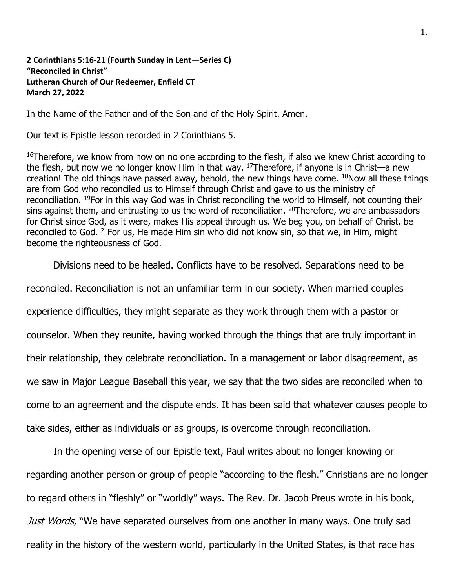**2 Corinthians 5:16-21 (Fourth Sunday in Lent—Series C) "Reconciled in Christ" Lutheran Church of Our Redeemer, Enfield CT March 27, 2022**

In the Name of the Father and of the Son and of the Holy Spirit. Amen.

Our text is Epistle lesson recorded in 2 Corinthians 5.

<sup>16</sup>Therefore, we know from now on no one according to the flesh, if also we knew Christ according to the flesh, but now we no longer know Him in that way.  $17$ Therefore, if anyone is in Christ—a new creation! The old things have passed away, behold, the new things have come. <sup>18</sup>Now all these things are from God who reconciled us to Himself through Christ and gave to us the ministry of reconciliation. <sup>19</sup>For in this way God was in Christ reconciling the world to Himself, not counting their sins against them, and entrusting to us the word of reconciliation. <sup>20</sup>Therefore, we are ambassadors for Christ since God, as it were, makes His appeal through us. We beg you, on behalf of Christ, be reconciled to God. <sup>21</sup>For us, He made Him sin who did not know sin, so that we, in Him, might become the righteousness of God.

Divisions need to be healed. Conflicts have to be resolved. Separations need to be

reconciled. Reconciliation is not an unfamiliar term in our society. When married couples

experience difficulties, they might separate as they work through them with a pastor or

counselor. When they reunite, having worked through the things that are truly important in

their relationship, they celebrate reconciliation. In a management or labor disagreement, as

we saw in Major League Baseball this year, we say that the two sides are reconciled when to

come to an agreement and the dispute ends. It has been said that whatever causes people to

take sides, either as individuals or as groups, is overcome through reconciliation.

In the opening verse of our Epistle text, Paul writes about no longer knowing or regarding another person or group of people "according to the flesh." Christians are no longer to regard others in "fleshly" or "worldly" ways. The Rev. Dr. Jacob Preus wrote in his book, Just Words, "We have separated ourselves from one another in many ways. One truly sad reality in the history of the western world, particularly in the United States, is that race has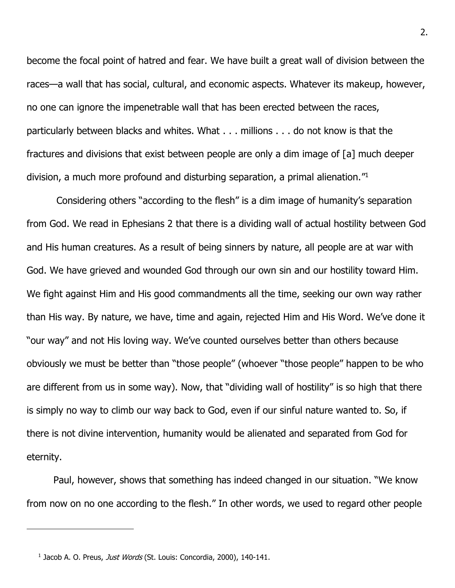become the focal point of hatred and fear. We have built a great wall of division between the races—a wall that has social, cultural, and economic aspects. Whatever its makeup, however, no one can ignore the impenetrable wall that has been erected between the races, particularly between blacks and whites. What . . . millions . . . do not know is that the fractures and divisions that exist between people are only a dim image of [a] much deeper division, a much more profound and disturbing separation, a primal alienation."<sup>1</sup>

Considering others "according to the flesh" is a dim image of humanity's separation from God. We read in Ephesians 2 that there is a dividing wall of actual hostility between God and His human creatures. As a result of being sinners by nature, all people are at war with God. We have grieved and wounded God through our own sin and our hostility toward Him. We fight against Him and His good commandments all the time, seeking our own way rather than His way. By nature, we have, time and again, rejected Him and His Word. We've done it "our way" and not His loving way. We've counted ourselves better than others because obviously we must be better than "those people" (whoever "those people" happen to be who are different from us in some way). Now, that "dividing wall of hostility" is so high that there is simply no way to climb our way back to God, even if our sinful nature wanted to. So, if there is not divine intervention, humanity would be alienated and separated from God for eternity.

Paul, however, shows that something has indeed changed in our situation. "We know from now on no one according to the flesh." In other words, we used to regard other people

<sup>&</sup>lt;sup>1</sup> Jacob A. O. Preus, Just Words (St. Louis: Concordia, 2000), 140-141.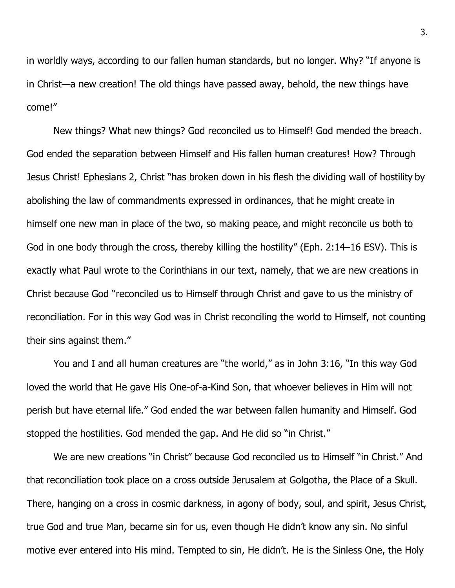in worldly ways, according to our fallen human standards, but no longer. Why? "If anyone is in Christ—a new creation! The old things have passed away, behold, the new things have come!"

New things? What new things? God reconciled us to Himself! God mended the breach. God ended the separation between Himself and His fallen human creatures! How? Through Jesus Christ! Ephesians 2, Christ "has broken down in his flesh the dividing wall of hostility by abolishing the law of commandments expressed in ordinances, that he might create in himself one new man in place of the two, so making peace, and might reconcile us both to God in one body through the cross, thereby killing the hostility" (Eph. 2:14–16 ESV). This is exactly what Paul wrote to the Corinthians in our text, namely, that we are new creations in Christ because God "reconciled us to Himself through Christ and gave to us the ministry of reconciliation. For in this way God was in Christ reconciling the world to Himself, not counting their sins against them."

You and I and all human creatures are "the world," as in John 3:16, "In this way God loved the world that He gave His One-of-a-Kind Son, that whoever believes in Him will not perish but have eternal life." God ended the war between fallen humanity and Himself. God stopped the hostilities. God mended the gap. And He did so "in Christ."

We are new creations "in Christ" because God reconciled us to Himself "in Christ." And that reconciliation took place on a cross outside Jerusalem at Golgotha, the Place of a Skull. There, hanging on a cross in cosmic darkness, in agony of body, soul, and spirit, Jesus Christ, true God and true Man, became sin for us, even though He didn't know any sin. No sinful motive ever entered into His mind. Tempted to sin, He didn't. He is the Sinless One, the Holy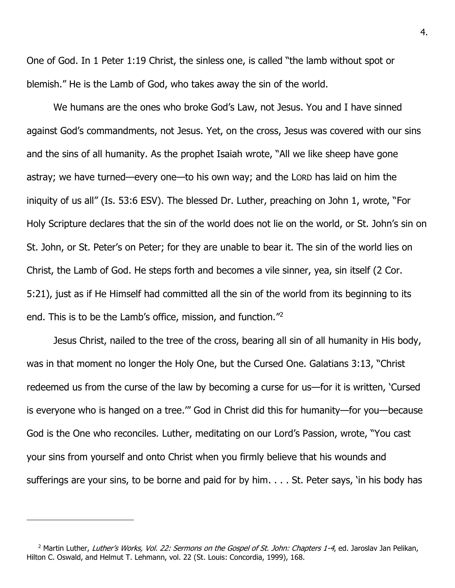One of God. In 1 Peter 1:19 Christ, the sinless one, is called "the lamb without spot or blemish." He is the Lamb of God, who takes away the sin of the world.

We humans are the ones who broke God's Law, not Jesus. You and I have sinned against God's commandments, not Jesus. Yet, on the cross, Jesus was covered with our sins and the sins of all humanity. As the prophet Isaiah wrote, "All we like sheep have gone astray; we have turned—every one—to his own way; and the LORD has laid on him the iniquity of us all" (Is. 53:6 ESV). The blessed Dr. Luther, preaching on John 1, wrote, "For Holy Scripture declares that the sin of the world does not lie on the world, or St. John's sin on St. John, or St. Peter's on Peter; for they are unable to bear it. The sin of the world lies on Christ, the Lamb of God. He steps forth and becomes a vile sinner, yea, sin itself (2 Cor. 5:21), just as if He Himself had committed all the sin of the world from its beginning to its end. This is to be the Lamb's office, mission, and function." 2

Jesus Christ, nailed to the tree of the cross, bearing all sin of all humanity in His body, was in that moment no longer the Holy One, but the Cursed One. Galatians 3:13, "Christ redeemed us from the curse of the law by becoming a curse for us—for it is written, 'Cursed is everyone who is hanged on a tree.'" God in Christ did this for humanity—for you—because God is the One who reconciles. Luther, meditating on our Lord's Passion, wrote, "You cast your sins from yourself and onto Christ when you firmly believe that his wounds and sufferings are your sins, to be borne and paid for by him. . . . St. Peter says, 'in his body has

<sup>&</sup>lt;sup>2</sup> Martin Luther, Luther's Works, Vol. 22: Sermons on the Gospel of St. John: Chapters 1-4, ed. Jaroslav Jan Pelikan, Hilton C. Oswald, and Helmut T. Lehmann, vol. 22 (St. Louis: Concordia, 1999), 168.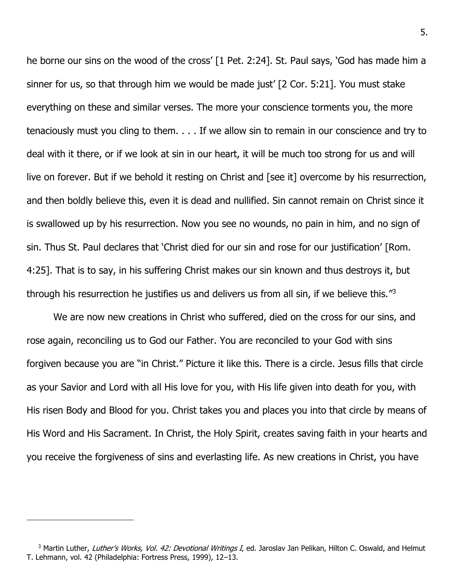he borne our sins on the wood of the cross' [1 Pet. 2:24]. St. Paul says, 'God has made him a sinner for us, so that through him we would be made just' [2 Cor. 5:21]. You must stake everything on these and similar verses. The more your conscience torments you, the more tenaciously must you cling to them. . . . If we allow sin to remain in our conscience and try to deal with it there, or if we look at sin in our heart, it will be much too strong for us and will live on forever. But if we behold it resting on Christ and [see it] overcome by his resurrection, and then boldly believe this, even it is dead and nullified. Sin cannot remain on Christ since it is swallowed up by his resurrection. Now you see no wounds, no pain in him, and no sign of sin. Thus St. Paul declares that 'Christ died for our sin and rose for our justification' [Rom. 4:25]. That is to say, in his suffering Christ makes our sin known and thus destroys it, but through his resurrection he justifies us and delivers us from all sin, if we believe this."<sup>3</sup>

We are now new creations in Christ who suffered, died on the cross for our sins, and rose again, reconciling us to God our Father. You are reconciled to your God with sins forgiven because you are "in Christ." Picture it like this. There is a circle. Jesus fills that circle as your Savior and Lord with all His love for you, with His life given into death for you, with His risen Body and Blood for you. Christ takes you and places you into that circle by means of His Word and His Sacrament. In Christ, the Holy Spirit, creates saving faith in your hearts and you receive the forgiveness of sins and everlasting life. As new creations in Christ, you have

<sup>&</sup>lt;sup>3</sup> Martin Luther, Luther's Works, Vol. 42: Devotional Writings I, ed. Jaroslav Jan Pelikan, Hilton C. Oswald, and Helmut T. Lehmann, vol. 42 (Philadelphia: Fortress Press, 1999), 12–13.